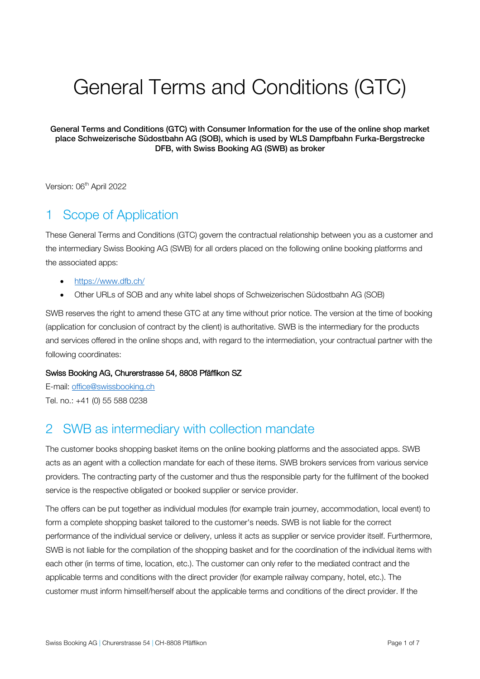# General Terms and Conditions (GTC)

General Terms and Conditions (GTC) with Consumer Information for the use of the online shop market place Schweizerische Südostbahn AG (SOB), which is used by WLS Dampfbahn Furka-Bergstrecke DFB, with Swiss Booking AG (SWB) as broker

Version: 06<sup>th</sup> April 2022

## 1 Scope of Application

These General Terms and Conditions (GTC) govern the contractual relationship between you as a customer and the intermediary Swiss Booking AG (SWB) for all orders placed on the following online booking platforms and the associated apps:

- https://www.dfb.ch/
- Other URLs of SOB and any white label shops of Schweizerischen Südostbahn AG (SOB)

SWB reserves the right to amend these GTC at any time without prior notice. The version at the time of booking (application for conclusion of contract by the client) is authoritative. SWB is the intermediary for the products and services offered in the online shops and, with regard to the intermediation, your contractual partner with the following coordinates:

#### Swiss Booking AG, Churerstrasse 54, 8808 Pfäffikon SZ

E-mail: office@swissbooking.ch Tel. no.: +41 (0) 55 588 0238

## 2 SWB as intermediary with collection mandate

The customer books shopping basket items on the online booking platforms and the associated apps. SWB acts as an agent with a collection mandate for each of these items. SWB brokers services from various service providers. The contracting party of the customer and thus the responsible party for the fulfilment of the booked service is the respective obligated or booked supplier or service provider.

The offers can be put together as individual modules (for example train journey, accommodation, local event) to form a complete shopping basket tailored to the customer's needs. SWB is not liable for the correct performance of the individual service or delivery, unless it acts as supplier or service provider itself. Furthermore, SWB is not liable for the compilation of the shopping basket and for the coordination of the individual items with each other (in terms of time, location, etc.). The customer can only refer to the mediated contract and the applicable terms and conditions with the direct provider (for example railway company, hotel, etc.). The customer must inform himself/herself about the applicable terms and conditions of the direct provider. If the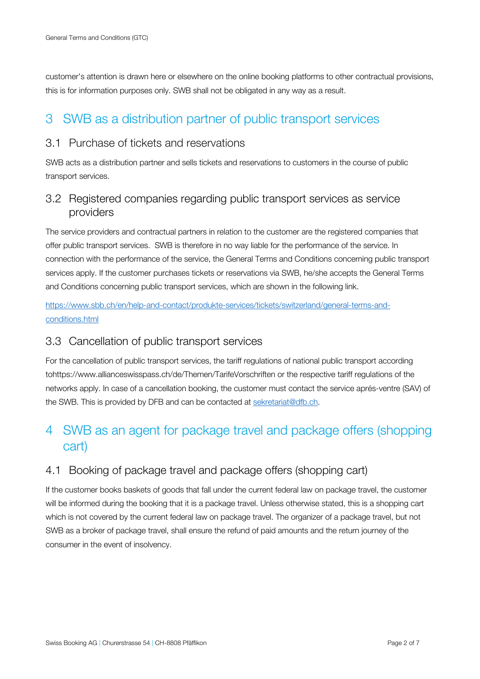customer's attention is drawn here or elsewhere on the online booking platforms to other contractual provisions, this is for information purposes only. SWB shall not be obligated in any way as a result.

## 3 SWB as a distribution partner of public transport services

#### 3.1 Purchase of tickets and reservations

SWB acts as a distribution partner and sells tickets and reservations to customers in the course of public transport services.

#### 3.2 Registered companies regarding public transport services as service providers

The service providers and contractual partners in relation to the customer are the registered companies that offer public transport services. SWB is therefore in no way liable for the performance of the service. In connection with the performance of the service, the General Terms and Conditions concerning public transport services apply. If the customer purchases tickets or reservations via SWB, he/she accepts the General Terms and Conditions concerning public transport services, which are shown in the following link.

https://www.sbb.ch/en/help-and-contact/produkte-services/tickets/switzerland/general-terms-andconditions.html

#### 3.3 Cancellation of public transport services

For the cancellation of public transport services, the tariff regulations of national public transport according tohttps://www.allianceswisspass.ch/de/Themen/TarifeVorschriften or the respective tariff regulations of the networks apply. In case of a cancellation booking, the customer must contact the service aprés-ventre (SAV) of the SWB. This is provided by DFB and can be contacted at sekretariat@dfb.ch.

## 4 SWB as an agent for package travel and package offers (shopping cart)

### 4.1 Booking of package travel and package offers (shopping cart)

If the customer books baskets of goods that fall under the current federal law on package travel, the customer will be informed during the booking that it is a package travel. Unless otherwise stated, this is a shopping cart which is not covered by the current federal law on package travel. The organizer of a package travel, but not SWB as a broker of package travel, shall ensure the refund of paid amounts and the return journey of the consumer in the event of insolvency.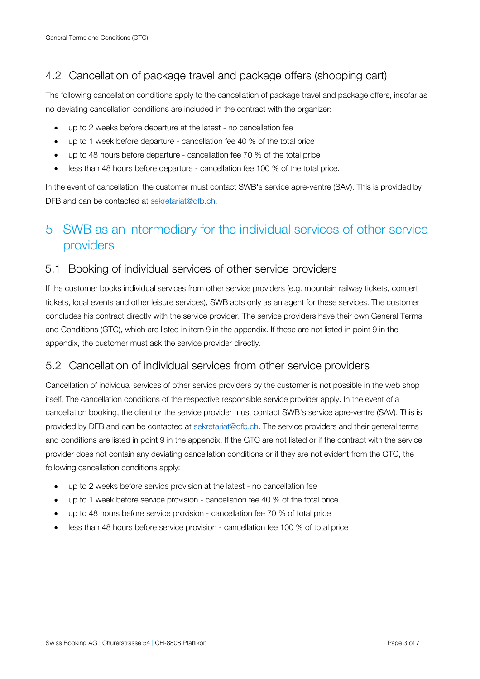## 4.2 Cancellation of package travel and package offers (shopping cart)

The following cancellation conditions apply to the cancellation of package travel and package offers, insofar as no deviating cancellation conditions are included in the contract with the organizer:

- up to 2 weeks before departure at the latest no cancellation fee
- up to 1 week before departure cancellation fee 40 % of the total price
- up to 48 hours before departure cancellation fee 70 % of the total price
- less than 48 hours before departure cancellation fee 100 % of the total price.

In the event of cancellation, the customer must contact SWB's service apre-ventre (SAV). This is provided by DFB and can be contacted at sekretariat@dfb.ch.

## 5 SWB as an intermediary for the individual services of other service providers

#### 5.1 Booking of individual services of other service providers

If the customer books individual services from other service providers (e.g. mountain railway tickets, concert tickets, local events and other leisure services), SWB acts only as an agent for these services. The customer concludes his contract directly with the service provider. The service providers have their own General Terms and Conditions (GTC), which are listed in item 9 in the appendix. If these are not listed in point 9 in the appendix, the customer must ask the service provider directly.

#### 5.2 Cancellation of individual services from other service providers

Cancellation of individual services of other service providers by the customer is not possible in the web shop itself. The cancellation conditions of the respective responsible service provider apply. In the event of a cancellation booking, the client or the service provider must contact SWB's service apre-ventre (SAV). This is provided by DFB and can be contacted at sekretariat@dfb.ch. The service providers and their general terms and conditions are listed in point 9 in the appendix. If the GTC are not listed or if the contract with the service provider does not contain any deviating cancellation conditions or if they are not evident from the GTC, the following cancellation conditions apply:

- up to 2 weeks before service provision at the latest no cancellation fee
- up to 1 week before service provision cancellation fee 40 % of the total price
- up to 48 hours before service provision cancellation fee 70 % of total price
- less than 48 hours before service provision cancellation fee 100 % of total price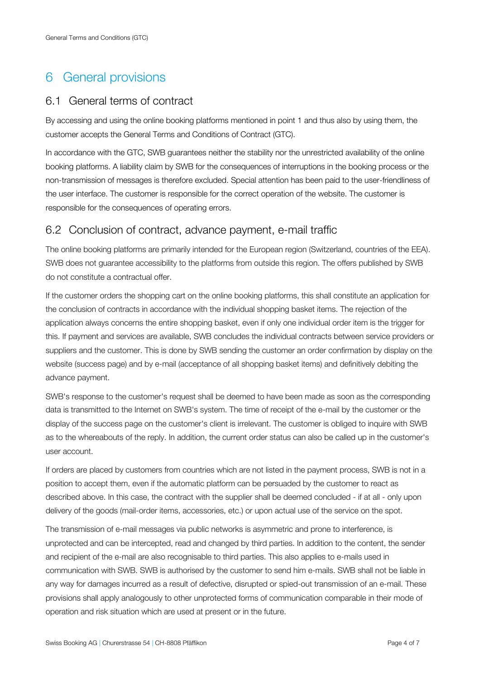## 6 General provisions

#### 6.1 General terms of contract

By accessing and using the online booking platforms mentioned in point 1 and thus also by using them, the customer accepts the General Terms and Conditions of Contract (GTC).

In accordance with the GTC, SWB guarantees neither the stability nor the unrestricted availability of the online booking platforms. A liability claim by SWB for the consequences of interruptions in the booking process or the non-transmission of messages is therefore excluded. Special attention has been paid to the user-friendliness of the user interface. The customer is responsible for the correct operation of the website. The customer is responsible for the consequences of operating errors.

#### 6.2 Conclusion of contract, advance payment, e-mail traffic

The online booking platforms are primarily intended for the European region (Switzerland, countries of the EEA). SWB does not guarantee accessibility to the platforms from outside this region. The offers published by SWB do not constitute a contractual offer.

If the customer orders the shopping cart on the online booking platforms, this shall constitute an application for the conclusion of contracts in accordance with the individual shopping basket items. The rejection of the application always concerns the entire shopping basket, even if only one individual order item is the trigger for this. If payment and services are available, SWB concludes the individual contracts between service providers or suppliers and the customer. This is done by SWB sending the customer an order confirmation by display on the website (success page) and by e-mail (acceptance of all shopping basket items) and definitively debiting the advance payment.

SWB's response to the customer's request shall be deemed to have been made as soon as the corresponding data is transmitted to the Internet on SWB's system. The time of receipt of the e-mail by the customer or the display of the success page on the customer's client is irrelevant. The customer is obliged to inquire with SWB as to the whereabouts of the reply. In addition, the current order status can also be called up in the customer's user account.

If orders are placed by customers from countries which are not listed in the payment process, SWB is not in a position to accept them, even if the automatic platform can be persuaded by the customer to react as described above. In this case, the contract with the supplier shall be deemed concluded - if at all - only upon delivery of the goods (mail-order items, accessories, etc.) or upon actual use of the service on the spot.

The transmission of e-mail messages via public networks is asymmetric and prone to interference, is unprotected and can be intercepted, read and changed by third parties. In addition to the content, the sender and recipient of the e-mail are also recognisable to third parties. This also applies to e-mails used in communication with SWB. SWB is authorised by the customer to send him e-mails. SWB shall not be liable in any way for damages incurred as a result of defective, disrupted or spied-out transmission of an e-mail. These provisions shall apply analogously to other unprotected forms of communication comparable in their mode of operation and risk situation which are used at present or in the future.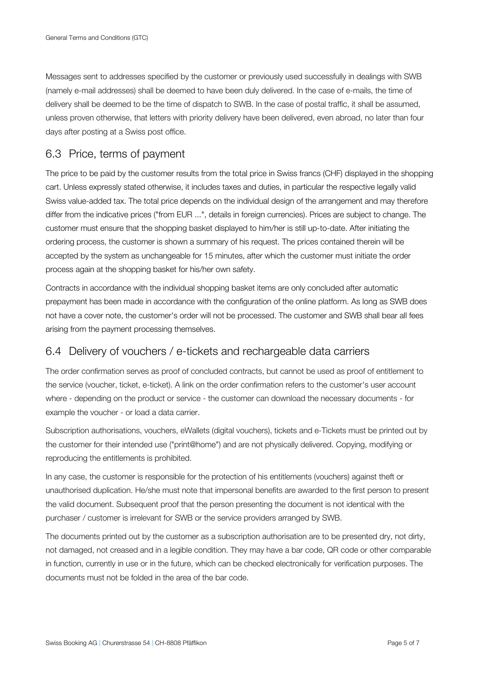Messages sent to addresses specified by the customer or previously used successfully in dealings with SWB (namely e-mail addresses) shall be deemed to have been duly delivered. In the case of e-mails, the time of delivery shall be deemed to be the time of dispatch to SWB. In the case of postal traffic, it shall be assumed, unless proven otherwise, that letters with priority delivery have been delivered, even abroad, no later than four days after posting at a Swiss post office.

#### 6.3 Price, terms of payment

The price to be paid by the customer results from the total price in Swiss francs (CHF) displayed in the shopping cart. Unless expressly stated otherwise, it includes taxes and duties, in particular the respective legally valid Swiss value-added tax. The total price depends on the individual design of the arrangement and may therefore differ from the indicative prices ("from EUR ...", details in foreign currencies). Prices are subject to change. The customer must ensure that the shopping basket displayed to him/her is still up-to-date. After initiating the ordering process, the customer is shown a summary of his request. The prices contained therein will be accepted by the system as unchangeable for 15 minutes, after which the customer must initiate the order process again at the shopping basket for his/her own safety.

Contracts in accordance with the individual shopping basket items are only concluded after automatic prepayment has been made in accordance with the configuration of the online platform. As long as SWB does not have a cover note, the customer's order will not be processed. The customer and SWB shall bear all fees arising from the payment processing themselves.

#### 6.4 Delivery of vouchers / e-tickets and rechargeable data carriers

The order confirmation serves as proof of concluded contracts, but cannot be used as proof of entitlement to the service (voucher, ticket, e-ticket). A link on the order confirmation refers to the customer's user account where - depending on the product or service - the customer can download the necessary documents - for example the voucher - or load a data carrier.

Subscription authorisations, vouchers, eWallets (digital vouchers), tickets and e-Tickets must be printed out by the customer for their intended use ("print@home") and are not physically delivered. Copying, modifying or reproducing the entitlements is prohibited.

In any case, the customer is responsible for the protection of his entitlements (vouchers) against theft or unauthorised duplication. He/she must note that impersonal benefits are awarded to the first person to present the valid document. Subsequent proof that the person presenting the document is not identical with the purchaser / customer is irrelevant for SWB or the service providers arranged by SWB.

The documents printed out by the customer as a subscription authorisation are to be presented dry, not dirty, not damaged, not creased and in a legible condition. They may have a bar code, QR code or other comparable in function, currently in use or in the future, which can be checked electronically for verification purposes. The documents must not be folded in the area of the bar code.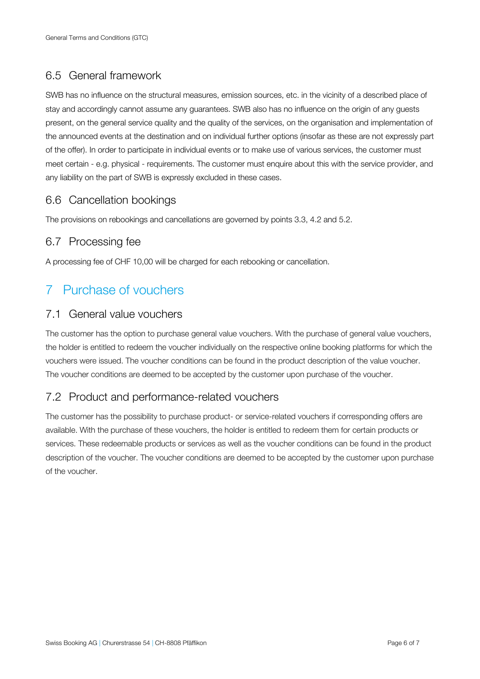#### 6.5 General framework

SWB has no influence on the structural measures, emission sources, etc. in the vicinity of a described place of stay and accordingly cannot assume any guarantees. SWB also has no influence on the origin of any guests present, on the general service quality and the quality of the services, on the organisation and implementation of the announced events at the destination and on individual further options (insofar as these are not expressly part of the offer). In order to participate in individual events or to make use of various services, the customer must meet certain - e.g. physical - requirements. The customer must enquire about this with the service provider, and any liability on the part of SWB is expressly excluded in these cases.

#### 6.6 Cancellation bookings

The provisions on rebookings and cancellations are governed by points 3.3, 4.2 and 5.2.

#### 6.7 Processing fee

A processing fee of CHF 10,00 will be charged for each rebooking or cancellation.

## 7 Purchase of vouchers

#### 7.1 General value vouchers

The customer has the option to purchase general value vouchers. With the purchase of general value vouchers, the holder is entitled to redeem the voucher individually on the respective online booking platforms for which the vouchers were issued. The voucher conditions can be found in the product description of the value voucher. The voucher conditions are deemed to be accepted by the customer upon purchase of the voucher.

#### 7.2 Product and performance-related vouchers

The customer has the possibility to purchase product- or service-related vouchers if corresponding offers are available. With the purchase of these vouchers, the holder is entitled to redeem them for certain products or services. These redeemable products or services as well as the voucher conditions can be found in the product description of the voucher. The voucher conditions are deemed to be accepted by the customer upon purchase of the voucher.